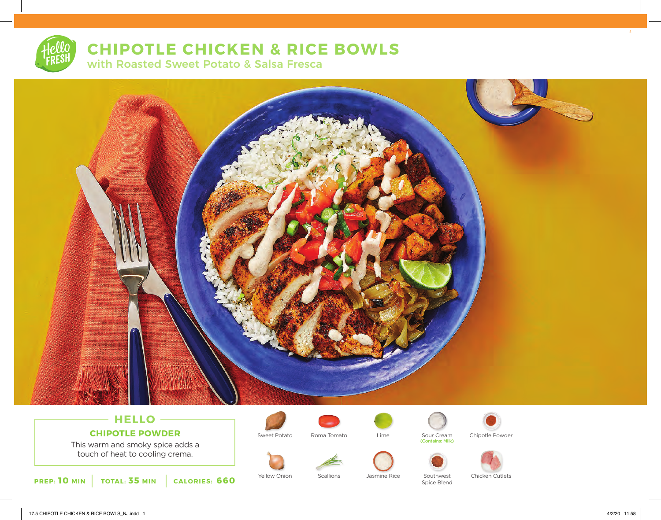# **CHIPOTLE CHICKEN & RICE BOWLS**

with Roasted Sweet Potato & Salsa Fresca



## **HELLO CHIPOTLE POWDER**

This warm and smoky spice adds a touch of heat to cooling crema.



Yellow Onion Scallions Jasmine Rice Southwest









Sweet Potato Sour Cream (Contains: Milk) Roma Tomato Lime Cour Cream Chipotle Powder







Spice Blend

5